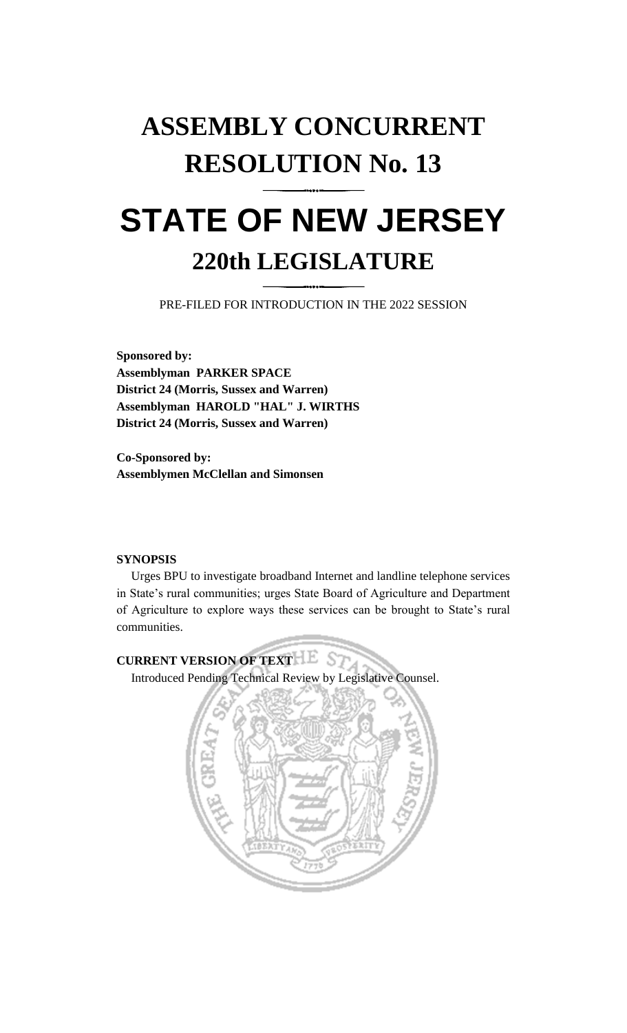# **ASSEMBLY CONCURRENT RESOLUTION No. 13**

## **STATE OF NEW JERSEY 220th LEGISLATURE**

PRE-FILED FOR INTRODUCTION IN THE 2022 SESSION

**Sponsored by: Assemblyman PARKER SPACE District 24 (Morris, Sussex and Warren) Assemblyman HAROLD "HAL" J. WIRTHS District 24 (Morris, Sussex and Warren)**

**Co-Sponsored by: Assemblymen McClellan and Simonsen**

### **SYNOPSIS**

Urges BPU to investigate broadband Internet and landline telephone services in State's rural communities; urges State Board of Agriculture and Department of Agriculture to explore ways these services can be brought to State's rural communities.

## **CURRENT VERSION OF TEXT LESS**

Introduced Pending Technical Review by Legislative Counsel.

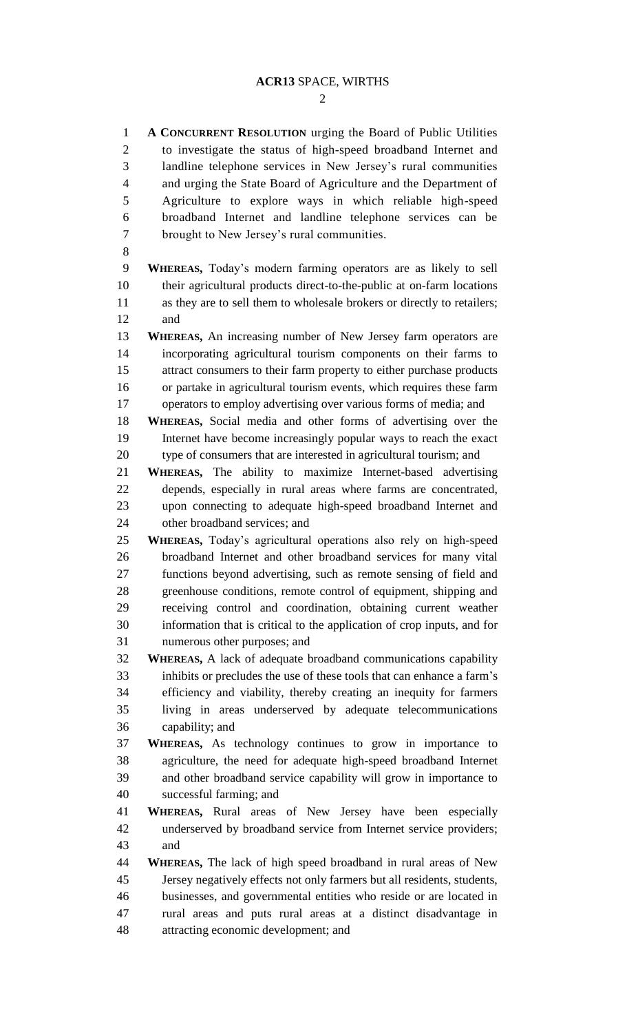$\mathcal{D}$ 

 **A CONCURRENT RESOLUTION** urging the Board of Public Utilities to investigate the status of high-speed broadband Internet and landline telephone services in New Jersey's rural communities and urging the State Board of Agriculture and the Department of Agriculture to explore ways in which reliable high-speed broadband Internet and landline telephone services can be brought to New Jersey's rural communities. **WHEREAS,** Today's modern farming operators are as likely to sell their agricultural products direct-to-the-public at on-farm locations as they are to sell them to wholesale brokers or directly to retailers; and **WHEREAS,** An increasing number of New Jersey farm operators are incorporating agricultural tourism components on their farms to attract consumers to their farm property to either purchase products or partake in agricultural tourism events, which requires these farm operators to employ advertising over various forms of media; and **WHEREAS,** Social media and other forms of advertising over the Internet have become increasingly popular ways to reach the exact type of consumers that are interested in agricultural tourism; and **WHEREAS,** The ability to maximize Internet-based advertising depends, especially in rural areas where farms are concentrated, upon connecting to adequate high-speed broadband Internet and other broadband services; and **WHEREAS,** Today's agricultural operations also rely on high-speed broadband Internet and other broadband services for many vital functions beyond advertising, such as remote sensing of field and greenhouse conditions, remote control of equipment, shipping and receiving control and coordination, obtaining current weather information that is critical to the application of crop inputs, and for numerous other purposes; and **WHEREAS,** A lack of adequate broadband communications capability inhibits or precludes the use of these tools that can enhance a farm's efficiency and viability, thereby creating an inequity for farmers living in areas underserved by adequate telecommunications capability; and **WHEREAS,** As technology continues to grow in importance to agriculture, the need for adequate high-speed broadband Internet and other broadband service capability will grow in importance to successful farming; and **WHEREAS,** Rural areas of New Jersey have been especially underserved by broadband service from Internet service providers; and **WHEREAS,** The lack of high speed broadband in rural areas of New Jersey negatively effects not only farmers but all residents, students, businesses, and governmental entities who reside or are located in rural areas and puts rural areas at a distinct disadvantage in attracting economic development; and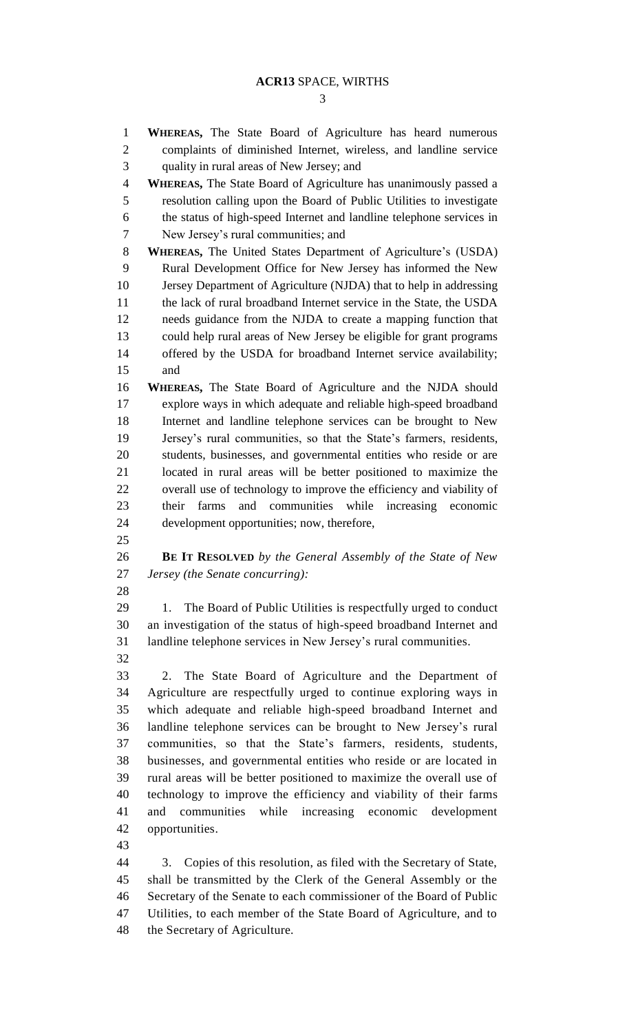**WHEREAS,** The State Board of Agriculture has heard numerous complaints of diminished Internet, wireless, and landline service quality in rural areas of New Jersey; and **WHEREAS,** The State Board of Agriculture has unanimously passed a resolution calling upon the Board of Public Utilities to investigate the status of high-speed Internet and landline telephone services in New Jersey's rural communities; and **WHEREAS,** The United States Department of Agriculture's (USDA) Rural Development Office for New Jersey has informed the New Jersey Department of Agriculture (NJDA) that to help in addressing the lack of rural broadband Internet service in the State, the USDA needs guidance from the NJDA to create a mapping function that could help rural areas of New Jersey be eligible for grant programs offered by the USDA for broadband Internet service availability; and **WHEREAS,** The State Board of Agriculture and the NJDA should explore ways in which adequate and reliable high-speed broadband Internet and landline telephone services can be brought to New Jersey's rural communities, so that the State's farmers, residents, students, businesses, and governmental entities who reside or are located in rural areas will be better positioned to maximize the overall use of technology to improve the efficiency and viability of their farms and communities while increasing economic development opportunities; now, therefore, **BE IT RESOLVED** *by the General Assembly of the State of New Jersey (the Senate concurring):* 1. The Board of Public Utilities is respectfully urged to conduct an investigation of the status of high-speed broadband Internet and landline telephone services in New Jersey's rural communities. 2. The State Board of Agriculture and the Department of Agriculture are respectfully urged to continue exploring ways in which adequate and reliable high-speed broadband Internet and landline telephone services can be brought to New Jersey's rural communities, so that the State's farmers, residents, students, businesses, and governmental entities who reside or are located in rural areas will be better positioned to maximize the overall use of technology to improve the efficiency and viability of their farms and communities while increasing economic development opportunities. 3. Copies of this resolution, as filed with the Secretary of State, shall be transmitted by the Clerk of the General Assembly or the Secretary of the Senate to each commissioner of the Board of Public Utilities, to each member of the State Board of Agriculture, and to

the Secretary of Agriculture.